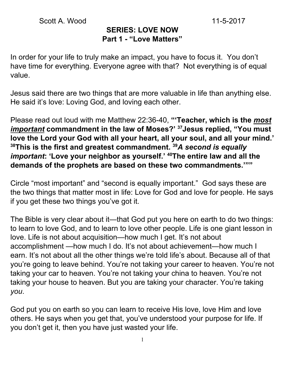#### **SERIES: LOVE NOW Part 1 - "Love Matters"**

In order for your life to truly make an impact, you have to focus it. You don't have time for everything. Everyone agree with that? Not everything is of equal value.

Jesus said there are two things that are more valuable in life than anything else. He said it's love: Loving God, and loving each other.

Please read out loud with me Matthew 22:36-40, **"'Teacher, which is the** *most important* **commandment in the law of Moses?' <sup>37</sup>Jesus replied, "You must love the Lord your God with all your heart, all your soul, and all your mind.' <sup>38</sup>This is the first and greatest commandment. <sup>39</sup>***A second is equally important***: 'Love your neighbor as yourself.' <sup>40</sup>The entire law and all the demands of the prophets are based on these two commandments.'""**

Circle "most important" and "second is equally important." God says these are the two things that matter most in life: Love for God and love for people. He says if you get these two things you've got it.

The Bible is very clear about it—that God put you here on earth to do two things: to learn to love God, and to learn to love other people. Life is one giant lesson in love. Life is not about acquisition—how much I get. It's not about accomplishment —how much I do. It's not about achievement—how much I earn. It's not about all the other things we're told life's about. Because all of that you're going to leave behind. You're not taking your career to heaven. You're not taking your car to heaven. You're not taking your china to heaven. You're not taking your house to heaven. But you are taking your character. You're taking *you*.

God put you on earth so you can learn to receive His love, love Him and love others. He says when you get that, you've understood your purpose for life. If you don't get it, then you have just wasted your life.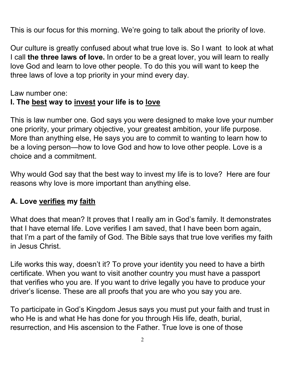This is our focus for this morning. We're going to talk about the priority of love.

Our culture is greatly confused about what true love is. So I want to look at what I call **the three laws of love.** In order to be a great lover, you will learn to really love God and learn to love other people. To do this you will want to keep the three laws of love a top priority in your mind every day.

Law number one:

#### **I. The best way to invest your life is to love**

This is law number one. God says you were designed to make love your number one priority, your primary objective, your greatest ambition, your life purpose. More than anything else, He says you are to commit to wanting to learn how to be a loving person—how to love God and how to love other people. Love is a choice and a commitment.

Why would God say that the best way to invest my life is to love? Here are four reasons why love is more important than anything else.

# **A. Love verifies my faith**

What does that mean? It proves that I really am in God's family. It demonstrates that I have eternal life. Love verifies I am saved, that I have been born again, that I'm a part of the family of God. The Bible says that true love verifies my faith in Jesus Christ.

Life works this way, doesn't it? To prove your identity you need to have a birth certificate. When you want to visit another country you must have a passport that verifies who you are. If you want to drive legally you have to produce your driver's license. These are all proofs that you are who you say you are.

To participate in God's Kingdom Jesus says you must put your faith and trust in who He is and what He has done for you through His life, death, burial, resurrection, and His ascension to the Father. True love is one of those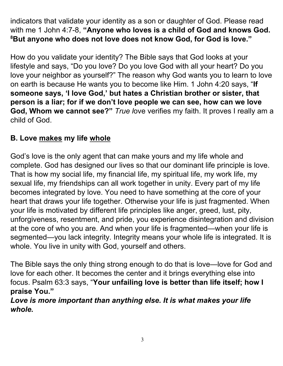indicators that validate your identity as a son or daughter of God. Please read with me 1 John 4:7-8, **"Anyone who loves is a child of God and knows God. <sup>8</sup>But anyone who does not love does not know God, for God is love."**

How do you validate your identity? The Bible says that God looks at your lifestyle and says, "Do you love? Do you love God with all your heart? Do you love your neighbor as yourself?" The reason why God wants you to learn to love on earth is because He wants you to become like Him. 1 John 4:20 says, "**If someone says, 'I love God, ' but hates a Christian brother or sister, that person is a liar; for if we don't love people we can see, how can we love God, Whom we cannot see?"** *True l*ove verifies my faith. It proves I really am a child of God.

# **B. Love makes my life whole**

God's love is the only agent that can make yours and my life whole and complete. God has designed our lives so that our dominant life principle is love. That is how my social life, my financial life, my spiritual life, my work life, my sexual life, my friendships can all work together in unity. Every part of my life becomes integrated by love. You need to have something at the core of your heart that draws your life together. Otherwise your life is just fragmented. When your life is motivated by different life principles like anger, greed, lust, pity, unforgiveness, resentment, and pride, you experience disintegration and division at the core of who you are. And when your life is fragmented—when your life is segmented—you lack integrity. Integrity means your whole life is integrated. It is whole. You live in unity with God, yourself and others.

The Bible says the only thing strong enough to do that is love—love for God and love for each other. It becomes the center and it brings everything else into focus. Psalm 63:3 says, "**Your unfailing love is better than life itself; how I praise You."**

*Love is more important than anything else. It is what makes your life whole.*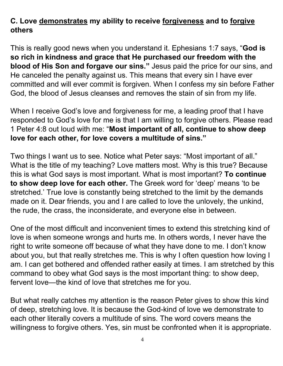# **C. Love demonstrates my ability to receive forgiveness and to forgive others**

This is really good news when you understand it. Ephesians 1:7 says, "**God is so rich in kindness and grace that He purchased our freedom with the blood of His Son and forgave our sins."** Jesus paid the price for our sins, and He canceled the penalty against us. This means that every sin I have ever committed and will ever commit is forgiven. When I confess my sin before Father God, the blood of Jesus cleanses and removes the stain of sin from my life.

When I receive God's love and forgiveness for me, a leading proof that I have responded to God's love for me is that I am willing to forgive others. Please read 1 Peter 4:8 out loud with me: "**Most important of all, continue to show deep love for each other, for love covers a multitude of sins."**

Two things I want us to see. Notice what Peter says: "Most important of all." What is the title of my teaching? Love matters most. Why is this true? Because this is what God says is most important. What is most important? **To continue to show deep love for each other.** The Greek word for 'deep' means 'to be stretched.' True love is constantly being stretched to the limit by the demands made on it. Dear friends, you and I are called to love the unlovely, the unkind, the rude, the crass, the inconsiderate, and everyone else in between.

One of the most difficult and inconvenient times to extend this stretching kind of love is when someone wrongs and hurts me. In others words, I never have the right to write someone off because of what they have done to me. I don't know about you, but that really stretches me. This is why I often question how loving I am. I can get bothered and offended rather easily at times. I am stretched by this command to obey what God says is the most important thing: to show deep, fervent love—the kind of love that stretches me for you.

But what really catches my attention is the reason Peter gives to show this kind of deep, stretching love. It is because the God-kind of love we demonstrate to each other literally covers a multitude of sins. The word covers means the willingness to forgive others. Yes, sin must be confronted when it is appropriate.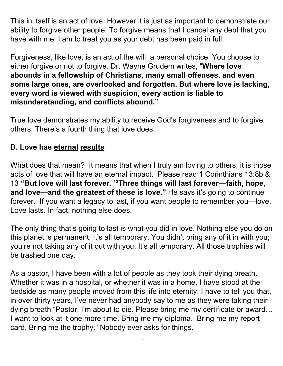This in itself is an act of love. However it is just as important to demonstrate our ability to forgive other people. To forgive means that I cancel any debt that you have with me. I am to treat you as your debt has been paid in full.

Forgiveness, like love, is an act of the will, a personal choice. You choose to either forgive or not to forgive. Dr. Wayne Grudem writes, "**Where love abounds in a fellowship of Christians, many small offenses, and even some large ones, are overlooked and forgotten. But where love is lacking, every word is viewed with suspicion, every action is liable to misunderstanding, and conflicts abound."**

True love demonstrates my ability to receive God's forgiveness and to forgive others. There's a fourth thing that love does.

# **D. Love has eternal results**

What does that mean? It means that when I truly am loving to others, it is those acts of love that will have an eternal impact. Please read 1 Corinthians 13:8b & 13 **"But love will last forever. <sup>13</sup>Three things will last forever—faith, hope, and love—and the greatest of these is love."** He says it's going to continue forever. If you want a legacy to last, if you want people to remember you—love. Love lasts. In fact, nothing else does.

The only thing that's going to last is what you did in love. Nothing else you do on this planet is permanent. It's all temporary. You didn't bring any of it in with you; you're not taking any of it out with you. It's all temporary. All those trophies will be trashed one day.

As a pastor, I have been with a lot of people as they took their dying breath. Whether it was in a hospital, or whether it was in a home, I have stood at the bedside as many people moved from this life into eternity. I have to tell you that, in over thirty years, I've never had anybody say to me as they were taking their dying breath "Pastor, I'm about to die. Please bring me my certificate or award… I want to look at it one more time. Bring me my diploma. Bring me my report card. Bring me the trophy." Nobody ever asks for things.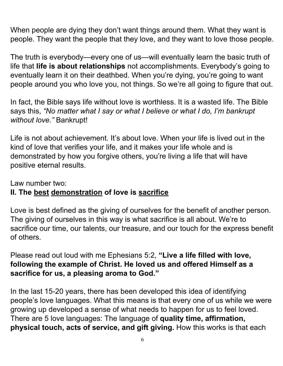When people are dying they don't want things around them. What they want is people. They want the people that they love, and they want to love those people.

The truth is everybody—every one of us—will eventually learn the basic truth of life that **life is about relationships** not accomplishments. Everybody's going to eventually learn it on their deathbed. When you're dying, you're going to want people around you who love you, not things. So we're all going to figure that out.

In fact, the Bible says life without love is worthless. It is a wasted life. The Bible says this, *"No matter what I say or what I believe or what I do, I'm bankrupt without love."* Bankrupt!

Life is not about achievement. It's about love. When your life is lived out in the kind of love that verifies your life, and it makes your life whole and is demonstrated by how you forgive others, you're living a life that will have positive eternal results.

Law number two:

#### **II. The best demonstration of love is sacrifice**

Love is best defined as the giving of ourselves for the benefit of another person. The giving of ourselves in this way is what sacrifice is all about. We're to sacrifice our time, our talents, our treasure, and our touch for the express benefit of others.

Please read out loud with me Ephesians 5:2, **"Live a life filled with love, following the example of Christ. He loved us and offered Himself as a sacrifice for us, a pleasing aroma to God."**

In the last 15-20 years, there has been developed this idea of identifying people's love languages. What this means is that every one of us while we were growing up developed a sense of what needs to happen for us to feel loved. There are 5 love languages: The language of **quality time, affirmation, physical touch, acts of service, and gift giving.** How this works is that each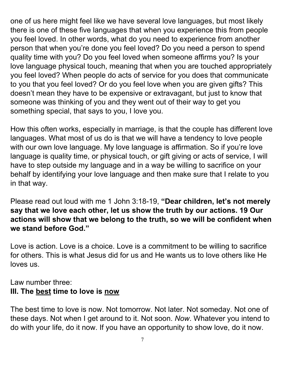one of us here might feel like we have several love languages, but most likely there is one of these five languages that when you experience this from people you feel loved. In other words, what do you need to experience from another person that when you're done you feel loved? Do you need a person to spend quality time with you? Do you feel loved when someone affirms you? Is your love language physical touch, meaning that when you are touched appropriately you feel loved? When people do acts of service for you does that communicate to you that you feel loved? Or do you feel love when you are given gifts? This doesn't mean they have to be expensive or extravagant, but just to know that someone was thinking of you and they went out of their way to get you something special, that says to you, I love you.

How this often works, especially in marriage, is that the couple has different love languages. What most of us do is that we will have a tendency to love people with our own love language. My love language is affirmation. So if you're love language is quality time, or physical touch, or gift giving or acts of service, I will have to step outside my language and in a way be willing to sacrifice on your behalf by identifying your love language and then make sure that I relate to you in that way.

Please read out loud with me 1 John 3:18-19, **"Dear children, let's not merely say that we love each other, let us show the truth by our actions. 19 Our actions will show that we belong to the truth, so we will be confident when we stand before God."**

Love is action. Love is a choice. Love is a commitment to be willing to sacrifice for others. This is what Jesus did for us and He wants us to love others like He loves us.

#### Law number three: **III. The best time to love is now**

The best time to love is now. Not tomorrow. Not later. Not someday. Not one of these days. Not when I get around to it. Not soon. *Now*. Whatever you intend to do with your life, do it now. If you have an opportunity to show love, do it now.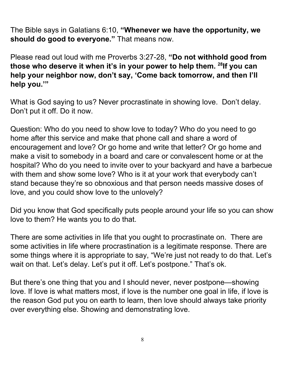The Bible says in Galatians 6:10, **"Whenever we have the opportunity, we should do good to everyone."** That means now.

Please read out loud with me Proverbs 3:27-28, **"Do not withhold good from those who deserve it when it's in your power to help them. 28 If you can help your neighbor now, don't say, 'Come back tomorrow, and then I'll help you.'"**

What is God saying to us? Never procrastinate in showing love. Don't delay. Don't put it off. Do it now.

Question: Who do you need to show love to today? Who do you need to go home after this service and make that phone call and share a word of encouragement and love? Or go home and write that letter? Or go home and make a visit to somebody in a board and care or convalescent home or at the hospital? Who do you need to invite over to your backyard and have a barbecue with them and show some love? Who is it at your work that everybody can't stand because they're so obnoxious and that person needs massive doses of love, and you could show love to the unlovely?

Did you know that God specifically puts people around your life so you can show love to them? He wants you to do that.

There are some activities in life that you ought to procrastinate on. There are some activities in life where procrastination is a legitimate response. There are some things where it is appropriate to say, "We're just not ready to do that. Let's wait on that. Let's delay. Let's put it off. Let's postpone." That's ok.

But there's one thing that you and I should never, never postpone—showing love. If love is what matters most, if love is the number one goal in life, if love is the reason God put you on earth to learn, then love should always take priority over everything else. Showing and demonstrating love.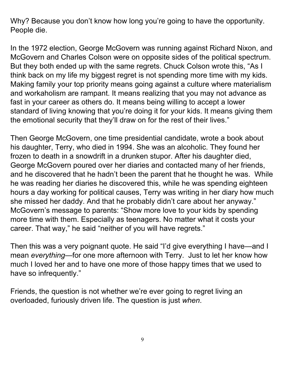Why? Because you don't know how long you're going to have the opportunity. People die.

In the 1972 election, George McGovern was running against Richard Nixon, and McGovern and Charles Colson were on opposite sides of the political spectrum. But they both ended up with the same regrets. Chuck Colson wrote this, "As I think back on my life my biggest regret is not spending more time with my kids. Making family your top priority means going against a culture where materialism and workaholism are rampant. It means realizing that you may not advance as fast in your career as others do. It means being willing to accept a lower standard of living knowing that you're doing it for your kids. It means giving them the emotional security that they'll draw on for the rest of their lives."

Then George McGovern, one time presidential candidate, wrote a book about his daughter, Terry, who died in 1994. She was an alcoholic. They found her frozen to death in a snowdrift in a drunken stupor. After his daughter died, George McGovern poured over her diaries and contacted many of her friends, and he discovered that he hadn't been the parent that he thought he was. While he was reading her diaries he discovered this, while he was spending eighteen hours a day working for political causes, Terry was writing in her diary how much she missed her daddy. And that he probably didn't care about her anyway." McGovern's message to parents: "Show more love to your kids by spending more time with them. Especially as teenagers. No matter what it costs your career. That way," he said "neither of you will have regrets."

Then this was a very poignant quote. He said "I'd give everything I have—and I mean *everything*—for one more afternoon with Terry. Just to let her know how much I loved her and to have one more of those happy times that we used to have so infrequently."

Friends, the question is not whether we're ever going to regret living an overloaded, furiously driven life. The question is just *when*.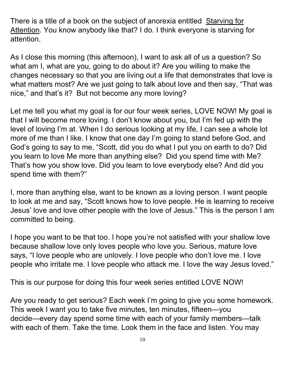There is a title of a book on the subject of anorexia entitled Starving for Attention. You know anybody like that? I do. I think everyone is starving for attention.

As I close this morning (this afternoon), I want to ask all of us a question? So what am I, what are you, going to do about it? Are you willing to make the changes necessary so that you are living out a life that demonstrates that love is what matters most? Are we just going to talk about love and then say, "That was nice," and that's it? But not become any more loving?

Let me tell you what my goal is for our four week series, LOVE NOW! My goal is that I will become more loving. I don't know about you, but I'm fed up with the level of loving I'm at. When I do serious looking at my life, I can see a whole lot more of me than I like. I know that one day I'm going to stand before God, and God's going to say to me, "Scott, did you do what I put you on earth to do? Did you learn to love Me more than anything else? Did you spend time with Me? That's how you show love. Did you learn to love everybody else? And did you spend time with them?"

I, more than anything else, want to be known as a loving person. I want people to look at me and say, "Scott knows how to love people. He is learning to receive Jesus' love and love other people with the love of Jesus." This is the person I am committed to being.

I hope you want to be that too. I hope you're not satisfied with your shallow love because shallow love only loves people who love you. Serious, mature love says, "I love people who are unlovely. I love people who don't love me. I love people who irritate me. I love people who attack me. I love the way Jesus loved."

This is our purpose for doing this four week series entitled LOVE NOW!

Are you ready to get serious? Each week I'm going to give you some homework. This week I want you to take five minutes, ten minutes, fifteen—you decide—every day spend some time with each of your family members—talk with each of them. Take the time. Look them in the face and listen. You may